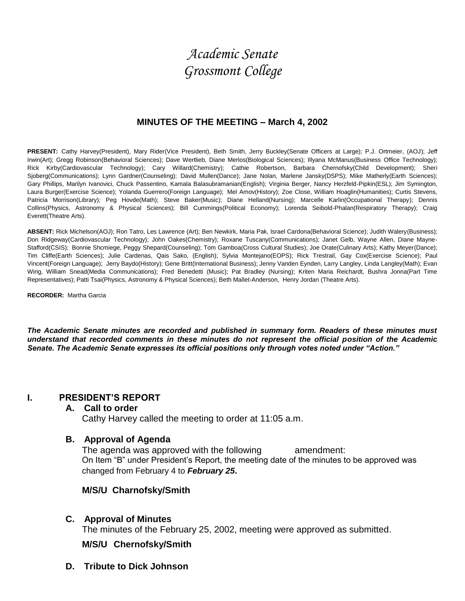# *Academic Senate Grossmont College*

## **MINUTES OF THE MEETING – March 4, 2002**

**PRESENT:** Cathy Harvey(President), Mary Rider(Vice President), Beth Smith, Jerry Buckley(Senate Officers at Large); P.J. Ortmeier, (AOJ); Jeff Irwin(Art); Gregg Robinson(Behavioral Sciences); Dave Wertlieb, Diane Merlos(Biological Sciences); Illyana McManus(Business Office Technology); Rick Kirby(Cardiovascular Technology); Cary Willard(Chemistry); Cathie Robertson, Barbara Chernofsky(Child Development); Sheri Sjoberg(Communications); Lynn Gardner(Counseling); David Mullen(Dance); Jane Nolan, Marlene Jansky(DSPS); Mike Matherly(Earth Sciences); Gary Phillips, Marilyn Ivanovici, Chuck Passentino, Kamala Balasubramanian(English); Virginia Berger, Nancy Herzfeld-Pipkin(ESL); Jim Symington, Laura Burger(Exercise Science); Yolanda Guerrero(Foreign Language); Mel Amov(History); Zoe Close, William Hoaglin(Humanities); Curtis Stevens, Patricia Morrison(Library); Peg Hovde(Math); Steve Baker(Music); Diane Helland(Nursing); Marcelle Karlin(Occupational Therapy); Dennis Collins(Physics, Astronomy & Physical Sciences); Bill Cummings(Political Economy); Lorenda Seibold-Phalan(Respiratory Therapy); Craig Everett(Theatre Arts).

**ABSENT:** Rick Michelson(AOJ); Ron Tatro, Les Lawrence (Art); Ben Newkirk, Maria Pak, Israel Cardona(Behavioral Science); Judith Walery(Business); Don Ridgeway(Cardiovascular Technology); John Oakes(Chemistry); Roxane Tuscany(Communications); Janet Gelb, Wayne Allen, Diane Mayne-Stafford(CSIS); Bonnie Shcmiege, Peggy Shepard(Counseling); Tom Gamboa(Cross Cultural Studies); Joe Orate(Culinary Arts); Kathy Meyer(Dance); Tim Cliffe(Earth Sciences); Julie Cardenas, Qais Sako, (English); Sylvia Montejano(EOPS); Rick Trestrail, Gay Cox(Exercise Science); Paul Vincent(Foreign Language); Jerry Baydo(History); Gene Britt(International Business); Jenny Vanden Eynden, Larry Langley, Linda Langley(Math); Evan Wirig, William Snead(Media Communications); Fred Benedetti (Music); Pat Bradley (Nursing); Kriten Maria Reichardt, Bushra Jonna(Part Time Representatives); Patti Tsai(Physics, Astronomy & Physical Sciences); Beth Mallet-Anderson, Henry Jordan (Theatre Arts).

**RECORDER:** Martha Garcia

*The Academic Senate minutes are recorded and published in summary form. Readers of these minutes must understand that recorded comments in these minutes do not represent the official position of the Academic Senate. The Academic Senate expresses its official positions only through votes noted under "Action."*

## **I. PRESIDENT'S REPORT**

## **A. Call to order**

Cathy Harvey called the meeting to order at 11:05 a.m.

## **B. Approval of Agenda**

The agenda was approved with the following amendment: On Item "B" under President's Report, the meeting date of the minutes to be approved was changed from February 4 to *February 25***.**

## **M/S/U Charnofsky/Smith**

## **C. Approval of Minutes**

The minutes of the February 25, 2002, meeting were approved as submitted.

## **M/S/U Chernofsky/Smith**

**D. Tribute to Dick Johnson**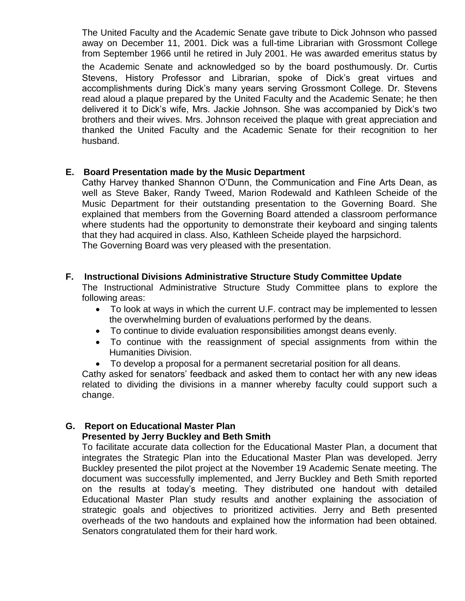The United Faculty and the Academic Senate gave tribute to Dick Johnson who passed away on December 11, 2001. Dick was a full-time Librarian with Grossmont College from September 1966 until he retired in July 2001. He was awarded emeritus status by the Academic Senate and acknowledged so by the board posthumously. Dr. Curtis Stevens, History Professor and Librarian, spoke of Dick's great virtues and accomplishments during Dick's many years serving Grossmont College. Dr. Stevens read aloud a plaque prepared by the United Faculty and the Academic Senate; he then delivered it to Dick's wife, Mrs. Jackie Johnson. She was accompanied by Dick's two brothers and their wives. Mrs. Johnson received the plaque with great appreciation and thanked the United Faculty and the Academic Senate for their recognition to her husband.

## **E. Board Presentation made by the Music Department**

Cathy Harvey thanked Shannon O'Dunn, the Communication and Fine Arts Dean, as well as Steve Baker, Randy Tweed, Marion Rodewald and Kathleen Scheide of the Music Department for their outstanding presentation to the Governing Board. She explained that members from the Governing Board attended a classroom performance where students had the opportunity to demonstrate their keyboard and singing talents that they had acquired in class. Also, Kathleen Scheide played the harpsichord. The Governing Board was very pleased with the presentation.

## **F. Instructional Divisions Administrative Structure Study Committee Update**

The Instructional Administrative Structure Study Committee plans to explore the following areas:

- To look at ways in which the current U.F. contract may be implemented to lessen the overwhelming burden of evaluations performed by the deans.
- To continue to divide evaluation responsibilities amongst deans evenly.
- To continue with the reassignment of special assignments from within the Humanities Division.
- To develop a proposal for a permanent secretarial position for all deans.

Cathy asked for senators' feedback and asked them to contact her with any new ideas related to dividing the divisions in a manner whereby faculty could support such a change.

## **G. Report on Educational Master Plan**

## **Presented by Jerry Buckley and Beth Smith**

To facilitate accurate data collection for the Educational Master Plan, a document that integrates the Strategic Plan into the Educational Master Plan was developed. Jerry Buckley presented the pilot project at the November 19 Academic Senate meeting. The document was successfully implemented, and Jerry Buckley and Beth Smith reported on the results at today's meeting. They distributed one handout with detailed Educational Master Plan study results and another explaining the association of strategic goals and objectives to prioritized activities. Jerry and Beth presented overheads of the two handouts and explained how the information had been obtained. Senators congratulated them for their hard work.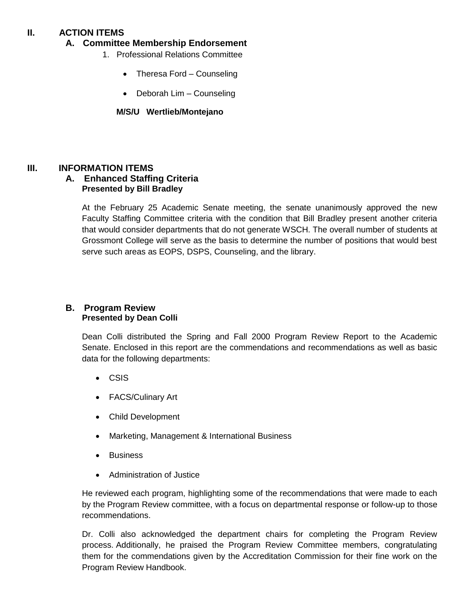# **II. ACTION ITEMS**

## **A. Committee Membership Endorsement**

- 1. Professional Relations Committee
	- Theresa Ford Counseling
	- Deborah Lim Counseling

## **M/S/U Wertlieb/Montejano**

## **III. INFORMATION ITEMS**

## **A. Enhanced Staffing Criteria Presented by Bill Bradley**

At the February 25 Academic Senate meeting, the senate unanimously approved the new Faculty Staffing Committee criteria with the condition that Bill Bradley present another criteria that would consider departments that do not generate WSCH. The overall number of students at Grossmont College will serve as the basis to determine the number of positions that would best serve such areas as EOPS, DSPS, Counseling, and the library.

## **B. Program Review Presented by Dean Colli**

Dean Colli distributed the Spring and Fall 2000 Program Review Report to the Academic Senate. Enclosed in this report are the commendations and recommendations as well as basic data for the following departments:

- CSIS
- FACS/Culinary Art
- Child Development
- Marketing, Management & International Business
- Business
- Administration of Justice

He reviewed each program, highlighting some of the recommendations that were made to each by the Program Review committee, with a focus on departmental response or follow-up to those recommendations.

Dr. Colli also acknowledged the department chairs for completing the Program Review process. Additionally, he praised the Program Review Committee members, congratulating them for the commendations given by the Accreditation Commission for their fine work on the Program Review Handbook.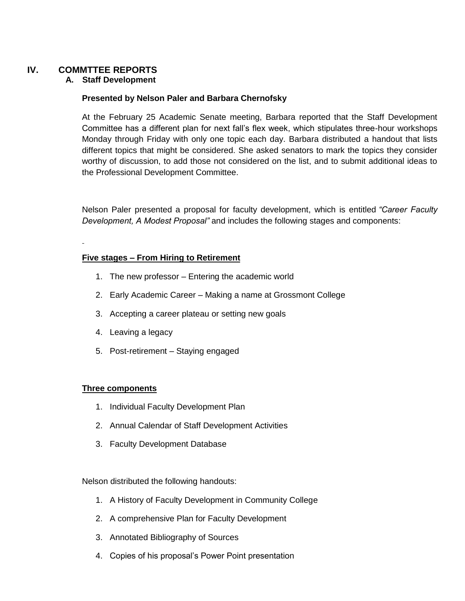# **IV. COMMTTEE REPORTS**

## **A. Staff Development**

#### **Presented by Nelson Paler and Barbara Chernofsky**

At the February 25 Academic Senate meeting, Barbara reported that the Staff Development Committee has a different plan for next fall's flex week, which stipulates three-hour workshops Monday through Friday with only one topic each day. Barbara distributed a handout that lists different topics that might be considered. She asked senators to mark the topics they consider worthy of discussion, to add those not considered on the list, and to submit additional ideas to the Professional Development Committee.

Nelson Paler presented a proposal for faculty development, which is entitled *"Career Faculty Development, A Modest Proposal"* and includes the following stages and components:

#### **Five stages – From Hiring to Retirement**

- 1. The new professor Entering the academic world
- 2. Early Academic Career Making a name at Grossmont College
- 3. Accepting a career plateau or setting new goals
- 4. Leaving a legacy
- 5. Post-retirement Staying engaged

#### **Three components**

- 1. Individual Faculty Development Plan
- 2. Annual Calendar of Staff Development Activities
- 3. Faculty Development Database

Nelson distributed the following handouts:

- 1. A History of Faculty Development in Community College
- 2. A comprehensive Plan for Faculty Development
- 3. Annotated Bibliography of Sources
- 4. Copies of his proposal's Power Point presentation